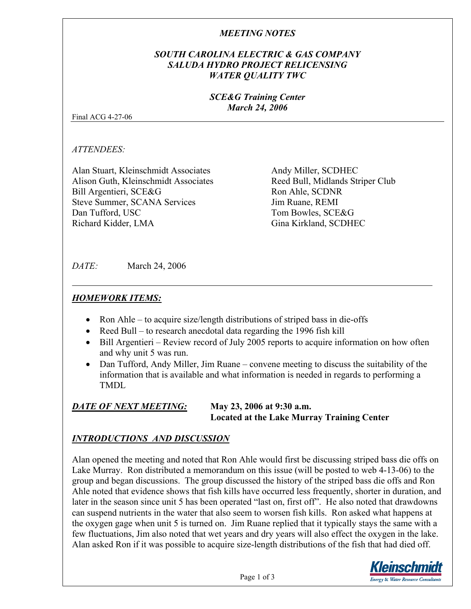## *MEETING NOTES*

## *SOUTH CAROLINA ELECTRIC & GAS COMPANY SALUDA HYDRO PROJECT RELICENSING WATER QUALITY TWC*

#### *SCE&G Training Center March 24, 2006*

Final ACG 4-27-06

*ATTENDEES:* 

Alan Stuart, Kleinschmidt Associates Alison Guth, Kleinschmidt Associates Bill Argentieri, SCE&G Steve Summer, SCANA Services Dan Tufford, USC Richard Kidder, LMA

Andy Miller, SCDHEC Reed Bull, Midlands Striper Club Ron Ahle, SCDNR Jim Ruane, REMI Tom Bowles, SCE&G Gina Kirkland, SCDHEC

*DATE:* March 24, 2006

# *HOMEWORK ITEMS:*

- Ron Ahle to acquire size/length distributions of striped bass in die-offs
- Reed Bull to research anecdotal data regarding the 1996 fish kill
- Bill Argentieri Review record of July 2005 reports to acquire information on how often and why unit 5 was run.
- Dan Tufford, Andy Miller, Jim Ruane convene meeting to discuss the suitability of the information that is available and what information is needed in regards to performing a TMDL

#### *DATE OF NEXT MEETING:* **May 23, 2006 at 9:30 a.m. Located at the Lake Murray Training Center**

# *INTRODUCTIONS AND DISCUSSION*

Alan opened the meeting and noted that Ron Ahle would first be discussing striped bass die offs on Lake Murray. Ron distributed a memorandum on this issue (will be posted to web 4-13-06) to the group and began discussions. The group discussed the history of the striped bass die offs and Ron Ahle noted that evidence shows that fish kills have occurred less frequently, shorter in duration, and later in the season since unit 5 has been operated "last on, first off". He also noted that drawdowns can suspend nutrients in the water that also seem to worsen fish kills. Ron asked what happens at the oxygen gage when unit 5 is turned on. Jim Ruane replied that it typically stays the same with a few fluctuations, Jim also noted that wet years and dry years will also effect the oxygen in the lake. Alan asked Ron if it was possible to acquire size-length distributions of the fish that had died off.

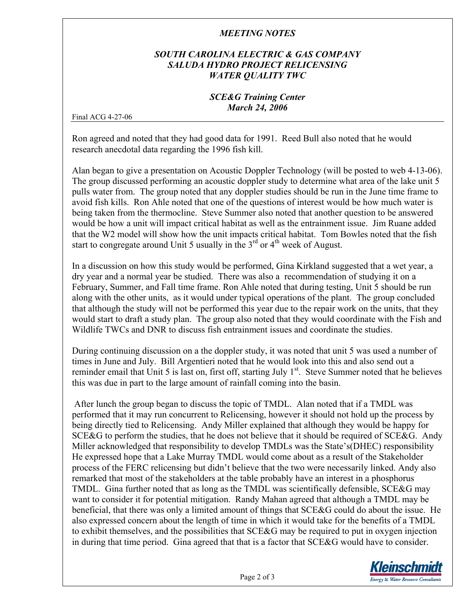### *MEETING NOTES*

## *SOUTH CAROLINA ELECTRIC & GAS COMPANY SALUDA HYDRO PROJECT RELICENSING WATER QUALITY TWC*

#### *SCE&G Training Center March 24, 2006*

Final ACG 4-27-06

Ron agreed and noted that they had good data for 1991. Reed Bull also noted that he would research anecdotal data regarding the 1996 fish kill.

Alan began to give a presentation on Acoustic Doppler Technology (will be posted to web 4-13-06). The group discussed performing an acoustic doppler study to determine what area of the lake unit 5 pulls water from. The group noted that any doppler studies should be run in the June time frame to avoid fish kills. Ron Ahle noted that one of the questions of interest would be how much water is being taken from the thermocline. Steve Summer also noted that another question to be answered would be how a unit will impact critical habitat as well as the entrainment issue. Jim Ruane added that the W2 model will show how the unit impacts critical habitat. Tom Bowles noted that the fish start to congregate around Unit 5 usually in the  $3<sup>rd</sup>$  or  $4<sup>th</sup>$  week of August.

In a discussion on how this study would be performed, Gina Kirkland suggested that a wet year, a dry year and a normal year be studied. There was also a recommendation of studying it on a February, Summer, and Fall time frame. Ron Ahle noted that during testing, Unit 5 should be run along with the other units, as it would under typical operations of the plant. The group concluded that although the study will not be performed this year due to the repair work on the units, that they would start to draft a study plan. The group also noted that they would coordinate with the Fish and Wildlife TWCs and DNR to discuss fish entrainment issues and coordinate the studies.

During continuing discussion on a the doppler study, it was noted that unit 5 was used a number of times in June and July. Bill Argentieri noted that he would look into this and also send out a reminder email that Unit 5 is last on, first off, starting July  $1<sup>st</sup>$ . Steve Summer noted that he believes this was due in part to the large amount of rainfall coming into the basin.

 After lunch the group began to discuss the topic of TMDL. Alan noted that if a TMDL was performed that it may run concurrent to Relicensing, however it should not hold up the process by being directly tied to Relicensing. Andy Miller explained that although they would be happy for SCE&G to perform the studies, that he does not believe that it should be required of SCE&G. Andy Miller acknowledged that responsibility to develop TMDLs was the State's(DHEC) responsibility He expressed hope that a Lake Murray TMDL would come about as a result of the Stakeholder process of the FERC relicensing but didn't believe that the two were necessarily linked. Andy also remarked that most of the stakeholders at the table probably have an interest in a phosphorus TMDL. Gina further noted that as long as the TMDL was scientifically defensible, SCE&G may want to consider it for potential mitigation. Randy Mahan agreed that although a TMDL may be beneficial, that there was only a limited amount of things that SCE&G could do about the issue. He also expressed concern about the length of time in which it would take for the benefits of a TMDL to exhibit themselves, and the possibilities that SCE&G may be required to put in oxygen injection in during that time period. Gina agreed that that is a factor that SCE&G would have to consider.